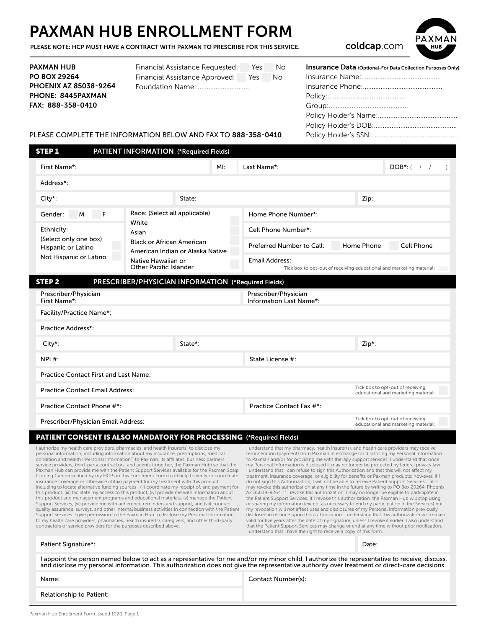# PAXMAN HUB ENROLLMENT FORM

PLEASE NOTE: HCP MUST HAVE A CONTRACT WITH PAXMAN TO PRESCRIBE FOR THIS SERVICE. COLDCAP.COM

PAXMAN **HUB** 

| <b>PAXMAN HUB</b>            | Financial Assistance Requested:                               | Yes | - No | <b>Insurance Data</b> (Optional-For Data Collection Purposes Only) |
|------------------------------|---------------------------------------------------------------|-----|------|--------------------------------------------------------------------|
| <b>PO BOX 29264</b>          | Financial Assistance Approved:                                | Yes | No.  |                                                                    |
| <b>PHOENIX AZ 85038-9264</b> |                                                               |     |      |                                                                    |
| PHONE: 8445PAXMAN            |                                                               |     |      |                                                                    |
| FAX: 888-358-0410            |                                                               |     |      |                                                                    |
|                              |                                                               |     |      |                                                                    |
|                              |                                                               |     |      |                                                                    |
|                              | PLEASE COMPLETE THE INFORMATION BELOW AND FAX TO 888-358-0410 |     |      |                                                                    |

| <b>STEP1</b>                                                                                                                                                                                                                                                                                                                                                                                                                                                                                                                                                                                                                                                                                                                                                                                                                                                                                                                                                                                                                                                                                                                                                                                                                                                                                                                                                                                                                               | PATIENT INFORMATION (*Required Fields)                               |         |                                                                                                                                                                                                                                                                                                                                                                                                                                                                                                                                                                                                                                                                                                                                                                                                                                                                                                                                                                                                                                                                                                                                                                                                                                                                                                                                                                                                                                                                                                                                                    |                                                                                               |                               |  |  |  |  |  |
|--------------------------------------------------------------------------------------------------------------------------------------------------------------------------------------------------------------------------------------------------------------------------------------------------------------------------------------------------------------------------------------------------------------------------------------------------------------------------------------------------------------------------------------------------------------------------------------------------------------------------------------------------------------------------------------------------------------------------------------------------------------------------------------------------------------------------------------------------------------------------------------------------------------------------------------------------------------------------------------------------------------------------------------------------------------------------------------------------------------------------------------------------------------------------------------------------------------------------------------------------------------------------------------------------------------------------------------------------------------------------------------------------------------------------------------------|----------------------------------------------------------------------|---------|----------------------------------------------------------------------------------------------------------------------------------------------------------------------------------------------------------------------------------------------------------------------------------------------------------------------------------------------------------------------------------------------------------------------------------------------------------------------------------------------------------------------------------------------------------------------------------------------------------------------------------------------------------------------------------------------------------------------------------------------------------------------------------------------------------------------------------------------------------------------------------------------------------------------------------------------------------------------------------------------------------------------------------------------------------------------------------------------------------------------------------------------------------------------------------------------------------------------------------------------------------------------------------------------------------------------------------------------------------------------------------------------------------------------------------------------------------------------------------------------------------------------------------------------------|-----------------------------------------------------------------------------------------------|-------------------------------|--|--|--|--|--|
| First Name*:                                                                                                                                                                                                                                                                                                                                                                                                                                                                                                                                                                                                                                                                                                                                                                                                                                                                                                                                                                                                                                                                                                                                                                                                                                                                                                                                                                                                                               |                                                                      |         | M!                                                                                                                                                                                                                                                                                                                                                                                                                                                                                                                                                                                                                                                                                                                                                                                                                                                                                                                                                                                                                                                                                                                                                                                                                                                                                                                                                                                                                                                                                                                                                 | Last Name*:                                                                                   | $DOB^*:$ / /<br>$\rightarrow$ |  |  |  |  |  |
| Address*:                                                                                                                                                                                                                                                                                                                                                                                                                                                                                                                                                                                                                                                                                                                                                                                                                                                                                                                                                                                                                                                                                                                                                                                                                                                                                                                                                                                                                                  |                                                                      |         |                                                                                                                                                                                                                                                                                                                                                                                                                                                                                                                                                                                                                                                                                                                                                                                                                                                                                                                                                                                                                                                                                                                                                                                                                                                                                                                                                                                                                                                                                                                                                    |                                                                                               |                               |  |  |  |  |  |
| City*:                                                                                                                                                                                                                                                                                                                                                                                                                                                                                                                                                                                                                                                                                                                                                                                                                                                                                                                                                                                                                                                                                                                                                                                                                                                                                                                                                                                                                                     |                                                                      | State:  |                                                                                                                                                                                                                                                                                                                                                                                                                                                                                                                                                                                                                                                                                                                                                                                                                                                                                                                                                                                                                                                                                                                                                                                                                                                                                                                                                                                                                                                                                                                                                    |                                                                                               | Zip:                          |  |  |  |  |  |
| F<br>Gender:<br>м                                                                                                                                                                                                                                                                                                                                                                                                                                                                                                                                                                                                                                                                                                                                                                                                                                                                                                                                                                                                                                                                                                                                                                                                                                                                                                                                                                                                                          | Race: (Select all applicable)                                        |         |                                                                                                                                                                                                                                                                                                                                                                                                                                                                                                                                                                                                                                                                                                                                                                                                                                                                                                                                                                                                                                                                                                                                                                                                                                                                                                                                                                                                                                                                                                                                                    | Home Phone Number*:                                                                           |                               |  |  |  |  |  |
| White<br>Ethnicity:<br>Asian<br>(Select only one box)<br>Hispanic or Latino                                                                                                                                                                                                                                                                                                                                                                                                                                                                                                                                                                                                                                                                                                                                                                                                                                                                                                                                                                                                                                                                                                                                                                                                                                                                                                                                                                |                                                                      |         |                                                                                                                                                                                                                                                                                                                                                                                                                                                                                                                                                                                                                                                                                                                                                                                                                                                                                                                                                                                                                                                                                                                                                                                                                                                                                                                                                                                                                                                                                                                                                    | Cell Phone Number*:                                                                           |                               |  |  |  |  |  |
|                                                                                                                                                                                                                                                                                                                                                                                                                                                                                                                                                                                                                                                                                                                                                                                                                                                                                                                                                                                                                                                                                                                                                                                                                                                                                                                                                                                                                                            | <b>Black or African American</b><br>American Indian or Alaska Native |         |                                                                                                                                                                                                                                                                                                                                                                                                                                                                                                                                                                                                                                                                                                                                                                                                                                                                                                                                                                                                                                                                                                                                                                                                                                                                                                                                                                                                                                                                                                                                                    | Home Phone<br>Preferred Number to Call:<br>Cell Phone                                         |                               |  |  |  |  |  |
| Not Hispanic or Latino                                                                                                                                                                                                                                                                                                                                                                                                                                                                                                                                                                                                                                                                                                                                                                                                                                                                                                                                                                                                                                                                                                                                                                                                                                                                                                                                                                                                                     | Native Hawaiian or<br>Other Pacific Islander                         |         |                                                                                                                                                                                                                                                                                                                                                                                                                                                                                                                                                                                                                                                                                                                                                                                                                                                                                                                                                                                                                                                                                                                                                                                                                                                                                                                                                                                                                                                                                                                                                    | <b>Email Address:</b><br>Tick box to opt-out of receiving educational and marketing material: |                               |  |  |  |  |  |
| PRESCRIBER/PHYSICIAN INFORMATION (*Required Fields)<br>STEP <sub>2</sub>                                                                                                                                                                                                                                                                                                                                                                                                                                                                                                                                                                                                                                                                                                                                                                                                                                                                                                                                                                                                                                                                                                                                                                                                                                                                                                                                                                   |                                                                      |         |                                                                                                                                                                                                                                                                                                                                                                                                                                                                                                                                                                                                                                                                                                                                                                                                                                                                                                                                                                                                                                                                                                                                                                                                                                                                                                                                                                                                                                                                                                                                                    |                                                                                               |                               |  |  |  |  |  |
| Prescriber/Physician<br>First Name*:                                                                                                                                                                                                                                                                                                                                                                                                                                                                                                                                                                                                                                                                                                                                                                                                                                                                                                                                                                                                                                                                                                                                                                                                                                                                                                                                                                                                       |                                                                      |         |                                                                                                                                                                                                                                                                                                                                                                                                                                                                                                                                                                                                                                                                                                                                                                                                                                                                                                                                                                                                                                                                                                                                                                                                                                                                                                                                                                                                                                                                                                                                                    | Prescriber/Physician<br>Information Last Name*:                                               |                               |  |  |  |  |  |
| Facility/Practice Name*:                                                                                                                                                                                                                                                                                                                                                                                                                                                                                                                                                                                                                                                                                                                                                                                                                                                                                                                                                                                                                                                                                                                                                                                                                                                                                                                                                                                                                   |                                                                      |         |                                                                                                                                                                                                                                                                                                                                                                                                                                                                                                                                                                                                                                                                                                                                                                                                                                                                                                                                                                                                                                                                                                                                                                                                                                                                                                                                                                                                                                                                                                                                                    |                                                                                               |                               |  |  |  |  |  |
| <b>Practice Address*:</b>                                                                                                                                                                                                                                                                                                                                                                                                                                                                                                                                                                                                                                                                                                                                                                                                                                                                                                                                                                                                                                                                                                                                                                                                                                                                                                                                                                                                                  |                                                                      |         |                                                                                                                                                                                                                                                                                                                                                                                                                                                                                                                                                                                                                                                                                                                                                                                                                                                                                                                                                                                                                                                                                                                                                                                                                                                                                                                                                                                                                                                                                                                                                    |                                                                                               |                               |  |  |  |  |  |
| City*:                                                                                                                                                                                                                                                                                                                                                                                                                                                                                                                                                                                                                                                                                                                                                                                                                                                                                                                                                                                                                                                                                                                                                                                                                                                                                                                                                                                                                                     |                                                                      | State*: |                                                                                                                                                                                                                                                                                                                                                                                                                                                                                                                                                                                                                                                                                                                                                                                                                                                                                                                                                                                                                                                                                                                                                                                                                                                                                                                                                                                                                                                                                                                                                    |                                                                                               | Zip*:                         |  |  |  |  |  |
| NPI #:                                                                                                                                                                                                                                                                                                                                                                                                                                                                                                                                                                                                                                                                                                                                                                                                                                                                                                                                                                                                                                                                                                                                                                                                                                                                                                                                                                                                                                     |                                                                      |         |                                                                                                                                                                                                                                                                                                                                                                                                                                                                                                                                                                                                                                                                                                                                                                                                                                                                                                                                                                                                                                                                                                                                                                                                                                                                                                                                                                                                                                                                                                                                                    | State License #:                                                                              |                               |  |  |  |  |  |
| <b>Practice Contact First and Last Name:</b>                                                                                                                                                                                                                                                                                                                                                                                                                                                                                                                                                                                                                                                                                                                                                                                                                                                                                                                                                                                                                                                                                                                                                                                                                                                                                                                                                                                               |                                                                      |         |                                                                                                                                                                                                                                                                                                                                                                                                                                                                                                                                                                                                                                                                                                                                                                                                                                                                                                                                                                                                                                                                                                                                                                                                                                                                                                                                                                                                                                                                                                                                                    |                                                                                               |                               |  |  |  |  |  |
| <b>Practice Contact Email Address:</b>                                                                                                                                                                                                                                                                                                                                                                                                                                                                                                                                                                                                                                                                                                                                                                                                                                                                                                                                                                                                                                                                                                                                                                                                                                                                                                                                                                                                     |                                                                      |         | Tick box to opt-out of receiving<br>educational and marketing material:                                                                                                                                                                                                                                                                                                                                                                                                                                                                                                                                                                                                                                                                                                                                                                                                                                                                                                                                                                                                                                                                                                                                                                                                                                                                                                                                                                                                                                                                            |                                                                                               |                               |  |  |  |  |  |
| Practice Contact Phone #*:                                                                                                                                                                                                                                                                                                                                                                                                                                                                                                                                                                                                                                                                                                                                                                                                                                                                                                                                                                                                                                                                                                                                                                                                                                                                                                                                                                                                                 |                                                                      |         | Practice Contact Fax #*:                                                                                                                                                                                                                                                                                                                                                                                                                                                                                                                                                                                                                                                                                                                                                                                                                                                                                                                                                                                                                                                                                                                                                                                                                                                                                                                                                                                                                                                                                                                           |                                                                                               |                               |  |  |  |  |  |
| Prescriber/Physician Email Address:                                                                                                                                                                                                                                                                                                                                                                                                                                                                                                                                                                                                                                                                                                                                                                                                                                                                                                                                                                                                                                                                                                                                                                                                                                                                                                                                                                                                        |                                                                      |         | Tick box to opt-out of receiving<br>educational and marketing material:                                                                                                                                                                                                                                                                                                                                                                                                                                                                                                                                                                                                                                                                                                                                                                                                                                                                                                                                                                                                                                                                                                                                                                                                                                                                                                                                                                                                                                                                            |                                                                                               |                               |  |  |  |  |  |
| <b>PATIENT CONSENT IS ALSO MANDATORY FOR PROCESSING (*Required Fields)</b>                                                                                                                                                                                                                                                                                                                                                                                                                                                                                                                                                                                                                                                                                                                                                                                                                                                                                                                                                                                                                                                                                                                                                                                                                                                                                                                                                                 |                                                                      |         |                                                                                                                                                                                                                                                                                                                                                                                                                                                                                                                                                                                                                                                                                                                                                                                                                                                                                                                                                                                                                                                                                                                                                                                                                                                                                                                                                                                                                                                                                                                                                    |                                                                                               |                               |  |  |  |  |  |
| I authorize my health care providers, pharmacies, and health insurer(s) to disclose my<br>personal information, including information about my insurance, prescriptions, medical<br>condition and health ("Personal Information") to Paxman, its affiliates, business partners,<br>service providers, third-party contractors, and agents (together, the Paxman Hub) so that the<br>Paxman Hub can provide me with the Patient Support Services available for the Paxman Scalp<br>Cooling Cap prescribed by my HCP on this Enrollment Form to (i) help to verify or coordinate<br>insurance coverage or otherwise obtain payment for my treatment with this product<br>including to locate alternative funding sources, (ii) coordinate my receipt of, and payment for<br>this product, (iii) facilitate my access to this product, (iv) provide me with information about<br>this product and management programs and educational materials, (v) manage the Patient<br>Support Services, (vi) provide me with adherence reminders and support, and (vii) conduct<br>quality assurance, surveys, and other internal business activities in connection with the Patient<br>Support Services. I give permission to the Paxman Hub to disclose my Personal Information<br>to my health care providers, pharmacies, health insurer(s), caregivers, and other third-party<br>contractors or service providers for the purposes described above. |                                                                      |         | I understand that my pharmacy, health insurer(s), and health care providers may receive<br>remuneration (payment) from Paxman in exchange for disclosing my Personal Information<br>to Paxman and/or for providing me with therapy support services. I understand that once<br>my Personal Information is disclosed it may no longer be protected by federal privacy law.<br>I understand that I can refuse to sign this Authorization and that this will not affect my<br>treatment, insurance coverage, or eligibility for benefits or Paxman products; however, if I<br>do not sign this Authorization, I will not be able to receive Patient Support Services. I also<br>may revoke this authorization at any time in the future by writing to PO Box 29264, Phoenix,<br>AZ 85038-9264. If I revoke this authorization, I may no longer be eligible to participate in<br>the Patient Support Services. If I revoke this authorization, the Paxman Hub will stop using<br>or sharing my information (except as necessary to end my participation in the Services) but<br>my revocation will not affect uses and disclosures of my Personal Information previously<br>disclosed in reliance upon this authorization. I understand that this authorization will remain<br>valid for five years after the date of my signature, unless I revoke it earlier. I also understand<br>that the Patient Support Services may change or end at any time without prior notification.<br>I understand that I have the right to receive a copy of this form. |                                                                                               |                               |  |  |  |  |  |
| Patient Signature*:                                                                                                                                                                                                                                                                                                                                                                                                                                                                                                                                                                                                                                                                                                                                                                                                                                                                                                                                                                                                                                                                                                                                                                                                                                                                                                                                                                                                                        |                                                                      |         |                                                                                                                                                                                                                                                                                                                                                                                                                                                                                                                                                                                                                                                                                                                                                                                                                                                                                                                                                                                                                                                                                                                                                                                                                                                                                                                                                                                                                                                                                                                                                    |                                                                                               | Date:                         |  |  |  |  |  |

I appoint the person named below to act as a representative for me and/or my minor child. I authorize the representative to receive, discuss, and disclose my personal information. This authorization does not give the representative authority over treatment or direct-care decisions.

| Name:                    | Contact Number(s): |
|--------------------------|--------------------|
| Relationship to Patient: |                    |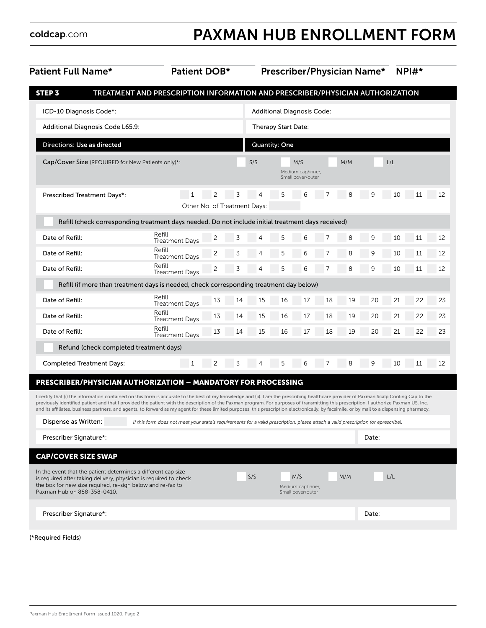# coldcap.com **PAXMAN HUB ENROLLMENT FORM**

| <b>Patient Full Name*</b>                                                                                                                                                                                                                                                                                                                                                                                                                                                                                                                                                      | Patient DOB*                                                                                                                       |                |    | Prescriber/Physician Name*<br>NPI#* |    |                                               |    |     |       |     |    |    |  |
|--------------------------------------------------------------------------------------------------------------------------------------------------------------------------------------------------------------------------------------------------------------------------------------------------------------------------------------------------------------------------------------------------------------------------------------------------------------------------------------------------------------------------------------------------------------------------------|------------------------------------------------------------------------------------------------------------------------------------|----------------|----|-------------------------------------|----|-----------------------------------------------|----|-----|-------|-----|----|----|--|
| <b>STEP 3</b>                                                                                                                                                                                                                                                                                                                                                                                                                                                                                                                                                                  | TREATMENT AND PRESCRIPTION INFORMATION AND PRESCRIBER/PHYSICIAN AUTHORIZATION                                                      |                |    |                                     |    |                                               |    |     |       |     |    |    |  |
| ICD-10 Diagnosis Code*:                                                                                                                                                                                                                                                                                                                                                                                                                                                                                                                                                        |                                                                                                                                    |                |    | <b>Additional Diagnosis Code:</b>   |    |                                               |    |     |       |     |    |    |  |
| Additional Diagnosis Code L65.9:                                                                                                                                                                                                                                                                                                                                                                                                                                                                                                                                               |                                                                                                                                    |                |    | Therapy Start Date:                 |    |                                               |    |     |       |     |    |    |  |
| Directions: Use as directed                                                                                                                                                                                                                                                                                                                                                                                                                                                                                                                                                    |                                                                                                                                    |                |    | Quantity: One                       |    |                                               |    |     |       |     |    |    |  |
| Cap/Cover Size (REQUIRED for New Patients only)*:                                                                                                                                                                                                                                                                                                                                                                                                                                                                                                                              |                                                                                                                                    |                |    | S/S                                 |    | M/S<br>Medium cap/inner,<br>Small cover/outer |    | M/M |       | L/L |    |    |  |
| Prescribed Treatment Days*:                                                                                                                                                                                                                                                                                                                                                                                                                                                                                                                                                    | $\mathbf{1}$<br>Other No. of Treatment Days:                                                                                       | $\overline{c}$ | 3  | 4                                   |    |                                               |    |     | 9     | 10  | 11 | 12 |  |
| Refill (check corresponding treatment days needed. Do not include initial treatment days received)                                                                                                                                                                                                                                                                                                                                                                                                                                                                             |                                                                                                                                    |                |    |                                     |    |                                               |    |     |       |     |    |    |  |
| Date of Refill:                                                                                                                                                                                                                                                                                                                                                                                                                                                                                                                                                                | Refill<br><b>Treatment Days</b>                                                                                                    | 2              |    |                                     | 5  | 6                                             |    | 8   | 9     | 10  | 11 | 12 |  |
| Date of Refill:                                                                                                                                                                                                                                                                                                                                                                                                                                                                                                                                                                | Refill<br><b>Treatment Days</b>                                                                                                    |                |    |                                     | 5  | 6                                             |    | 8   | 9     | 10  | 11 | 12 |  |
| Date of Refill:                                                                                                                                                                                                                                                                                                                                                                                                                                                                                                                                                                | Refill<br><b>Treatment Days</b>                                                                                                    | 2              | 3  |                                     | 5  | 6                                             |    | 8   | 9     | 10  | 11 | 12 |  |
| Refill (if more than treatment days is needed, check corresponding treatment day below)                                                                                                                                                                                                                                                                                                                                                                                                                                                                                        |                                                                                                                                    |                |    |                                     |    |                                               |    |     |       |     |    |    |  |
| Date of Refill:                                                                                                                                                                                                                                                                                                                                                                                                                                                                                                                                                                | Refill<br><b>Treatment Days</b>                                                                                                    | 13             | 14 | 15                                  | 16 | 17                                            | 18 | 19  | 20    | 21  | 22 | 23 |  |
| Date of Refill:                                                                                                                                                                                                                                                                                                                                                                                                                                                                                                                                                                | Refill<br><b>Treatment Days</b>                                                                                                    | 13             | 14 | 15                                  | 16 | 17                                            | 18 | 19  | 20    | 21  | 22 | 23 |  |
| Date of Refill:                                                                                                                                                                                                                                                                                                                                                                                                                                                                                                                                                                | Refill<br><b>Treatment Days</b>                                                                                                    | 13             | 14 | 15                                  | 16 | 17                                            | 18 | 19  | 20    | 21  | 22 | 23 |  |
| Refund (check completed treatment days)                                                                                                                                                                                                                                                                                                                                                                                                                                                                                                                                        |                                                                                                                                    |                |    |                                     |    |                                               |    |     |       |     |    |    |  |
| <b>Completed Treatment Days:</b>                                                                                                                                                                                                                                                                                                                                                                                                                                                                                                                                               |                                                                                                                                    |                | 3  |                                     | 5  | 6                                             |    | 8   |       | 10  | 11 | 12 |  |
| <b>PRESCRIBER/PHYSICIAN AUTHORIZATION - MANDATORY FOR PROCESSING</b>                                                                                                                                                                                                                                                                                                                                                                                                                                                                                                           |                                                                                                                                    |                |    |                                     |    |                                               |    |     |       |     |    |    |  |
| I certify that (i) the information contained on this form is accurate to the best of my knowledge and (ii). I am the prescribing healthcare provider of Paxman Scalp Cooling Cap to the<br>previously identified patient and that I provided the patient with the description of the Paxman program. For purposes of transmitting this prescription, I authorize Paxman US, Inc.<br>and its affiliates, business partners, and agents, to forward as my agent for these limited purposes, this prescription electronically, by facsimile, or by mail to a dispensing pharmacy. |                                                                                                                                    |                |    |                                     |    |                                               |    |     |       |     |    |    |  |
| Dispense as Written:                                                                                                                                                                                                                                                                                                                                                                                                                                                                                                                                                           | If this form does not meet your state's requirements for a valid prescription, please attach a valid prescription (or eprescribe). |                |    |                                     |    |                                               |    |     |       |     |    |    |  |
| Prescriber Signature*:                                                                                                                                                                                                                                                                                                                                                                                                                                                                                                                                                         |                                                                                                                                    |                |    |                                     |    |                                               |    |     | Date: |     |    |    |  |
| <b>CAP/COVER SIZE SWAP</b>                                                                                                                                                                                                                                                                                                                                                                                                                                                                                                                                                     |                                                                                                                                    |                |    |                                     |    |                                               |    |     |       |     |    |    |  |
| In the event that the patient determines a different cap size<br>is required after taking delivery, physician is required to check<br>the box for new size required, re-sign below and re-fax to<br>Paxman Hub on 888-358-0410.                                                                                                                                                                                                                                                                                                                                                |                                                                                                                                    |                |    | S/S                                 |    | M/S<br>Medium cap/inner,<br>Small cover/outer |    | M/M |       | L/L |    |    |  |
| Prescriber Signature*:                                                                                                                                                                                                                                                                                                                                                                                                                                                                                                                                                         |                                                                                                                                    |                |    |                                     |    |                                               |    |     | Date: |     |    |    |  |
| (*Required Fields)                                                                                                                                                                                                                                                                                                                                                                                                                                                                                                                                                             |                                                                                                                                    |                |    |                                     |    |                                               |    |     |       |     |    |    |  |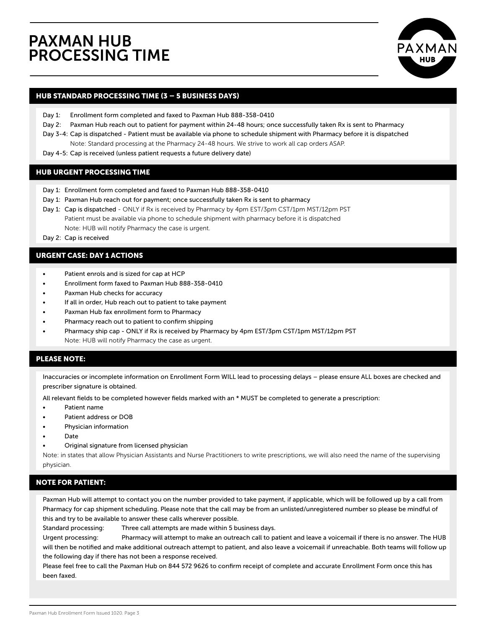## PAXMAN HUB PROCESSING TIME



## HUB STANDARD PROCESSING TIME (3 – 5 BUSINESS DAYS)

- Day 1: Enrollment form completed and faxed to Paxman Hub 888-358-0410
- Day 2: Paxman Hub reach out to patient for payment within 24-48 hours; once successfully taken Rx is sent to Pharmacy
- Day 3-4: Cap is dispatched Patient must be available via phone to schedule shipment with Pharmacy before it is dispatched Note: Standard processing at the Pharmacy 24-48 hours. We strive to work all cap orders ASAP.

Day 4-5: Cap is received (unless patient requests a future delivery date)

## HUB URGENT PROCESSING TIME

- Day 1: Enrollment form completed and faxed to Paxman Hub 888-358-0410
- Day 1: Paxman Hub reach out for payment; once successfully taken Rx is sent to pharmacy
- Day 1: Cap is dispatched ONLY if Rx is received by Pharmacy by 4pm EST/3pm CST/1pm MST/12pm PST Patient must be available via phone to schedule shipment with pharmacy before it is dispatched Note: HUB will notify Pharmacy the case is urgent.
- Day 2: Cap is received

## URGENT CASE: DAY 1 ACTIONS

- Patient enrols and is sized for cap at HCP
- Enrollment form faxed to Paxman Hub 888-358-0410
- Paxman Hub checks for accuracy
- If all in order, Hub reach out to patient to take payment
- Paxman Hub fax enrollment form to Pharmacy
- Pharmacy reach out to patient to confirm shipping
- Pharmacy ship cap ONLY if Rx is received by Pharmacy by 4pm EST/3pm CST/1pm MST/12pm PST Note: HUB will notify Pharmacy the case as urgent.

## PLEASE NOTE:

Inaccuracies or incomplete information on Enrollment Form WILL lead to processing delays – please ensure ALL boxes are checked and prescriber signature is obtained.

All relevant fields to be completed however fields marked with an \* MUST be completed to generate a prescription:

- Patient name
- Patient address or DOB
- Physician information
- Date
- Original signature from licensed physician

Note: in states that allow Physician Assistants and Nurse Practitioners to write prescriptions, we will also need the name of the supervising physician.

## NOTE FOR PATIENT:

Paxman Hub will attempt to contact you on the number provided to take payment, if applicable, which will be followed up by a call from Pharmacy for cap shipment scheduling. Please note that the call may be from an unlisted/unregistered number so please be mindful of this and try to be available to answer these calls wherever possible.

Standard processing: Three call attempts are made within 5 business days.

Urgent processing: Pharmacy will attempt to make an outreach call to patient and leave a voicemail if there is no answer. The HUB will then be notified and make additional outreach attempt to patient, and also leave a voicemail if unreachable. Both teams will follow up the following day if there has not been a response received.

Please feel free to call the Paxman Hub on 844 572 9626 to confirm receipt of complete and accurate Enrollment Form once this has been faxed.